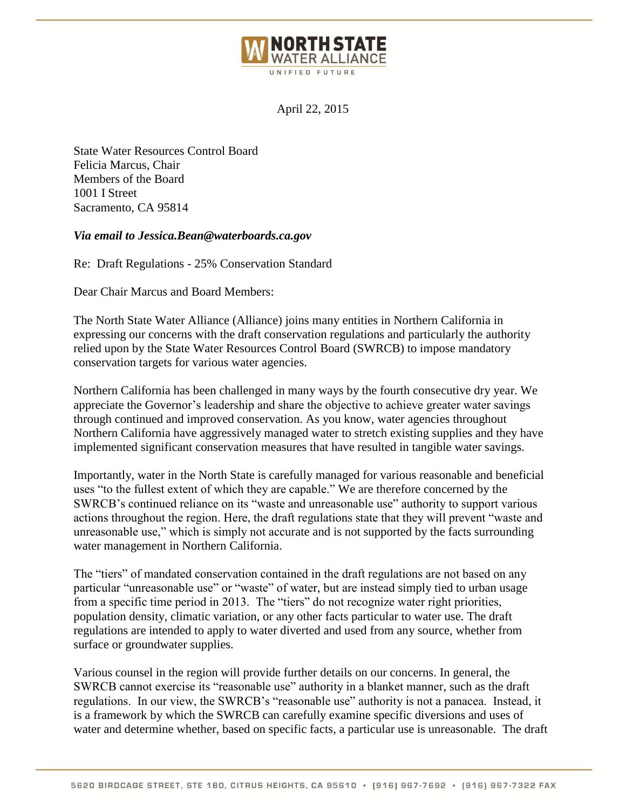

April 22, 2015

State Water Resources Control Board Felicia Marcus, Chair Members of the Board 1001 I Street Sacramento, CA 95814

## *Via email to Jessica.Bean@waterboards.ca.gov*

Re: Draft Regulations - 25% Conservation Standard

Dear Chair Marcus and Board Members:

The North State Water Alliance (Alliance) joins many entities in Northern California in expressing our concerns with the draft conservation regulations and particularly the authority relied upon by the State Water Resources Control Board (SWRCB) to impose mandatory conservation targets for various water agencies.

Northern California has been challenged in many ways by the fourth consecutive dry year. We appreciate the Governor's leadership and share the objective to achieve greater water savings through continued and improved conservation. As you know, water agencies throughout Northern California have aggressively managed water to stretch existing supplies and they have implemented significant conservation measures that have resulted in tangible water savings.

Importantly, water in the North State is carefully managed for various reasonable and beneficial uses "to the fullest extent of which they are capable." We are therefore concerned by the SWRCB's continued reliance on its "waste and unreasonable use" authority to support various actions throughout the region. Here, the draft regulations state that they will prevent "waste and unreasonable use," which is simply not accurate and is not supported by the facts surrounding water management in Northern California.

The "tiers" of mandated conservation contained in the draft regulations are not based on any particular "unreasonable use" or "waste" of water, but are instead simply tied to urban usage from a specific time period in 2013. The "tiers" do not recognize water right priorities, population density, climatic variation, or any other facts particular to water use. The draft regulations are intended to apply to water diverted and used from any source, whether from surface or groundwater supplies.

Various counsel in the region will provide further details on our concerns. In general, the SWRCB cannot exercise its "reasonable use" authority in a blanket manner, such as the draft regulations. In our view, the SWRCB's "reasonable use" authority is not a panacea. Instead, it is a framework by which the SWRCB can carefully examine specific diversions and uses of water and determine whether, based on specific facts, a particular use is unreasonable. The draft